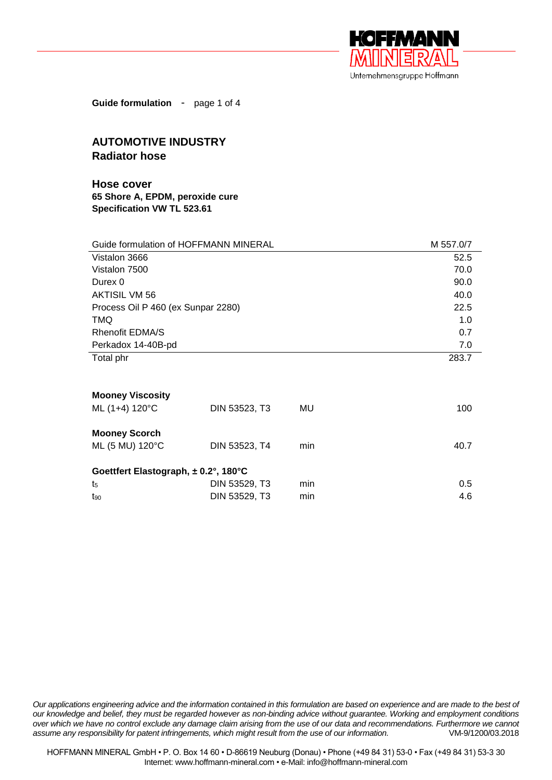

**Guide formulation** - page 1 of 4

## **AUTOMOTIVE INDUSTRY Radiator hose**

**Hose cover 65 Shore A, EPDM, peroxide cure Specification VW TL 523.61**

| Guide formulation of HOFFMANN MINERAL |               |     | M 557.0/7 |  |  |
|---------------------------------------|---------------|-----|-----------|--|--|
| Vistalon 3666                         |               |     | 52.5      |  |  |
| Vistalon 7500                         |               |     | 70.0      |  |  |
| Durex 0                               |               |     | 90.0      |  |  |
| <b>AKTISIL VM 56</b>                  |               |     | 40.0      |  |  |
| Process Oil P 460 (ex Sunpar 2280)    |               |     | 22.5      |  |  |
| <b>TMQ</b>                            |               |     | 1.0       |  |  |
| <b>Rhenofit EDMA/S</b>                |               |     | 0.7       |  |  |
| Perkadox 14-40B-pd                    |               |     | 7.0       |  |  |
| Total phr                             |               |     | 283.7     |  |  |
|                                       |               |     |           |  |  |
| <b>Mooney Viscosity</b>               |               |     |           |  |  |
| ML (1+4) 120°C                        | DIN 53523, T3 | MU  | 100       |  |  |
| <b>Mooney Scorch</b>                  |               |     |           |  |  |
| ML (5 MU) 120°C                       | DIN 53523, T4 | min | 40.7      |  |  |
| Goettfert Elastograph, ± 0.2°, 180°C  |               |     |           |  |  |
| t5                                    | DIN 53529, T3 | min | 0.5       |  |  |

t<sub>90</sub> **DIN 53529. T3** min 4.6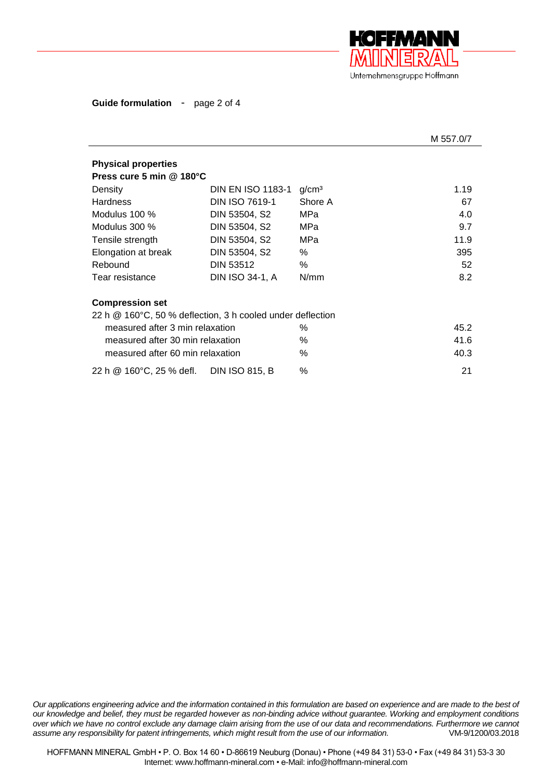

**Guide formulation** - page 2 of 4

|                                                                   |                          |                   | M 557.0/7 |  |  |  |
|-------------------------------------------------------------------|--------------------------|-------------------|-----------|--|--|--|
| <b>Physical properties</b>                                        |                          |                   |           |  |  |  |
| Press cure 5 min @ 180°C                                          |                          |                   |           |  |  |  |
| Density                                                           | <b>DIN EN ISO 1183-1</b> | g/cm <sup>3</sup> | 1.19      |  |  |  |
| <b>Hardness</b>                                                   | DIN ISO 7619-1           | Shore A           | 67        |  |  |  |
| Modulus $100\%$                                                   | DIN 53504, S2            | MPa               | 4.0       |  |  |  |
| Modulus $300\%$                                                   | DIN 53504, S2            | MPa               | 9.7       |  |  |  |
| Tensile strength                                                  | DIN 53504, S2            | MPa               | 11.9      |  |  |  |
| Elongation at break                                               | DIN 53504, S2            | $\%$              | 395       |  |  |  |
| Rebound                                                           | <b>DIN 53512</b>         | %                 | 52        |  |  |  |
| Tear resistance                                                   | DIN ISO 34-1, A          | N/mm              | 8.2       |  |  |  |
| <b>Compression set</b>                                            |                          |                   |           |  |  |  |
| 22 h $\omega$ 160°C, 50 % deflection, 3 h cooled under deflection |                          |                   |           |  |  |  |
| measured after 3 min relaxation                                   |                          | $\%$              | 45.2      |  |  |  |
| measured after 30 min relaxation                                  |                          | $\%$              | 41.6      |  |  |  |
| measured after 60 min relaxation                                  |                          | $\%$              | 40.3      |  |  |  |
| 22 h @ 160°C, 25 % defl.                                          | <b>DIN ISO 815, B</b>    | $\%$              | 21        |  |  |  |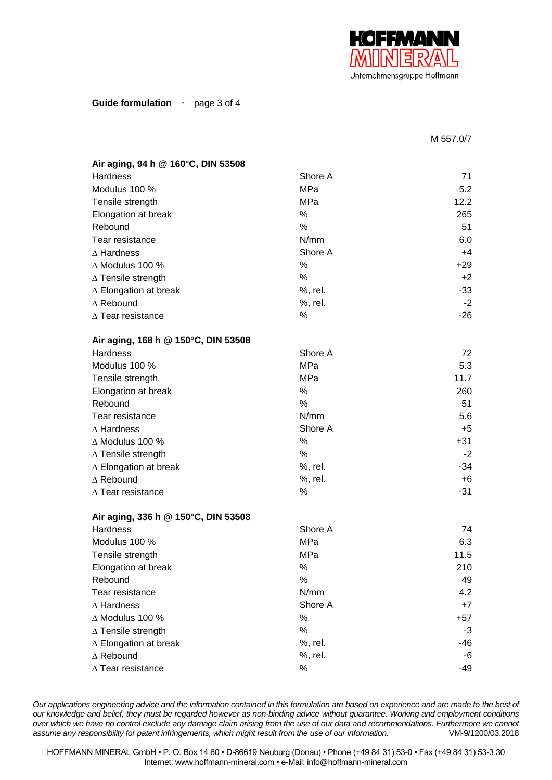

**Guide formulation** - page 3 of 4

|                                     |            | M 557.0/7 |
|-------------------------------------|------------|-----------|
| Air aging, 94 h @ 160°C, DIN 53508  |            |           |
| <b>Hardness</b>                     | Shore A    | 71        |
| Modulus 100 %                       | <b>MPa</b> | 5.2       |
| Tensile strength                    | MPa        | 12.2      |
| Elongation at break                 | %          | 265       |
| Rebound                             | %          | 51        |
| Tear resistance                     | N/mm       | 6.0       |
| $\Delta$ Hardness                   | Shore A    | +4        |
| $\triangle$ Modulus 100 %           | %          | $+29$     |
| $\Delta$ Tensile strength           | %          | $+2$      |
| $\triangle$ Elongation at break     | %, rel.    | $-33$     |
| $\Delta$ Rebound                    | %, rel.    | $-2$      |
| $\Delta$ Tear resistance            | %          | $-26$     |
| Air aging, 168 h @ 150°C, DIN 53508 |            |           |
| <b>Hardness</b>                     | Shore A    | 72        |
| Modulus 100 %                       | <b>MPa</b> | 5.3       |
| Tensile strength                    | <b>MPa</b> | 11.7      |
| Elongation at break                 | %          | 260       |
| Rebound                             | %          | 51        |
| Tear resistance                     | N/mm       | 5.6       |
| $\Delta$ Hardness                   | Shore A    | $+5$      |
| $\Delta$ Modulus 100 %              | $\%$       | $+31$     |
| $\Delta$ Tensile strength           | %          | $-2$      |
| $\triangle$ Elongation at break     | %, rel.    | $-34$     |
| $\Delta$ Rebound                    | %, rel.    | $+6$      |
| $\Delta$ Tear resistance            | %          | $-31$     |
| Air aging, 336 h @ 150°C, DIN 53508 |            |           |
| Hardness                            | Shore A    | 74        |
| Modulus 100 %                       | <b>MPa</b> | 6.3       |
| Tensile strength                    | MPa        | 11.5      |
| Elongation at break                 | $\%$       | 210       |
| Rebound                             | %          | 49        |
| Tear resistance                     | N/mm       | 4.2       |
| $\Delta$ Hardness                   | Shore A    | $+7$      |
| $\Delta$ Modulus 100 %              | $\%$       | $+57$     |
| $\Delta$ Tensile strength           | $\%$       | -3        |
| ∆ Elongation at break               | %, rel.    | -46       |
| $\Delta$ Rebound                    | %, rel.    | -6        |
| $\Delta$ Tear resistance            | $\%$       | -49       |
|                                     |            |           |